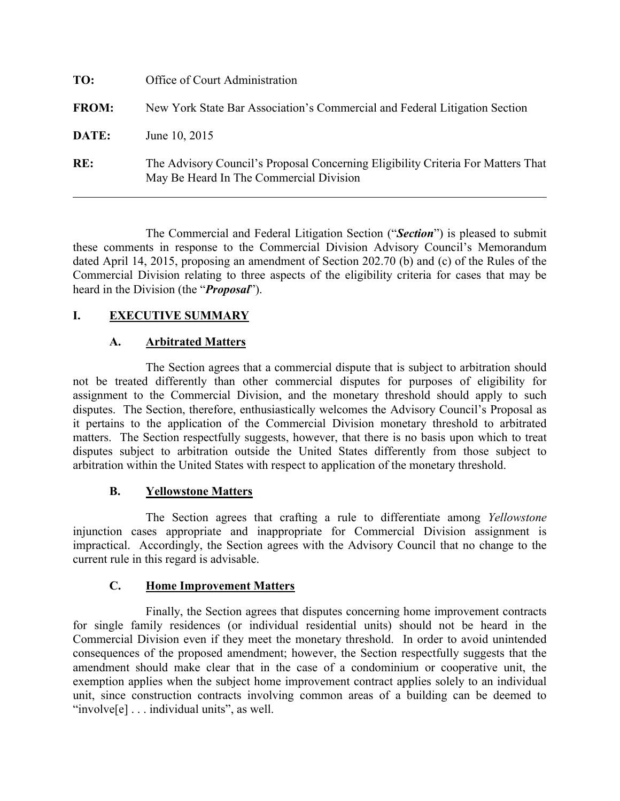| TO:          | Office of Court Administration                                                                                              |
|--------------|-----------------------------------------------------------------------------------------------------------------------------|
| <b>FROM:</b> | New York State Bar Association's Commercial and Federal Litigation Section                                                  |
| DATE:        | June 10, 2015                                                                                                               |
| RE:          | The Advisory Council's Proposal Concerning Eligibility Criteria For Matters That<br>May Be Heard In The Commercial Division |

The Commercial and Federal Litigation Section ("*Section*") is pleased to submit these comments in response to the Commercial Division Advisory Council's Memorandum dated April 14, 2015, proposing an amendment of Section 202.70 (b) and (c) of the Rules of the Commercial Division relating to three aspects of the eligibility criteria for cases that may be heard in the Division (the "*Proposal*").

# **I. EXECUTIVE SUMMARY**

## **A. Arbitrated Matters**

The Section agrees that a commercial dispute that is subject to arbitration should not be treated differently than other commercial disputes for purposes of eligibility for assignment to the Commercial Division, and the monetary threshold should apply to such disputes. The Section, therefore, enthusiastically welcomes the Advisory Council's Proposal as it pertains to the application of the Commercial Division monetary threshold to arbitrated matters. The Section respectfully suggests, however, that there is no basis upon which to treat disputes subject to arbitration outside the United States differently from those subject to arbitration within the United States with respect to application of the monetary threshold.

## **B. Yellowstone Matters**

The Section agrees that crafting a rule to differentiate among *Yellowstone* injunction cases appropriate and inappropriate for Commercial Division assignment is impractical. Accordingly, the Section agrees with the Advisory Council that no change to the current rule in this regard is advisable.

#### **C. Home Improvement Matters**

Finally, the Section agrees that disputes concerning home improvement contracts for single family residences (or individual residential units) should not be heard in the Commercial Division even if they meet the monetary threshold. In order to avoid unintended consequences of the proposed amendment; however, the Section respectfully suggests that the amendment should make clear that in the case of a condominium or cooperative unit, the exemption applies when the subject home improvement contract applies solely to an individual unit, since construction contracts involving common areas of a building can be deemed to "involve[e] . . . individual units", as well.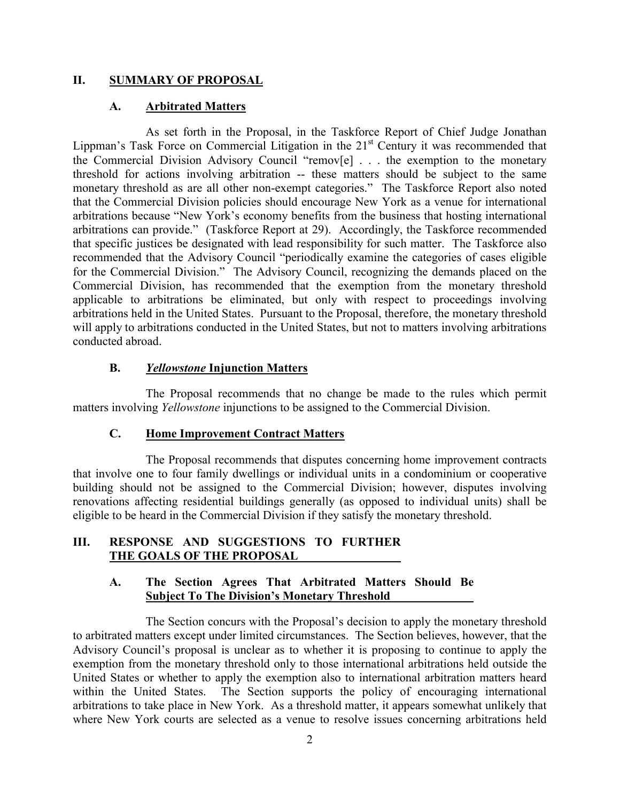### **II. SUMMARY OF PROPOSAL**

## **A. Arbitrated Matters**

As set forth in the Proposal, in the Taskforce Report of Chief Judge Jonathan Lippman's Task Force on Commercial Litigation in the  $21<sup>st</sup>$  Century it was recommended that the Commercial Division Advisory Council "remov[e] . . . the exemption to the monetary threshold for actions involving arbitration -- these matters should be subject to the same monetary threshold as are all other non-exempt categories." The Taskforce Report also noted that the Commercial Division policies should encourage New York as a venue for international arbitrations because "New York's economy benefits from the business that hosting international arbitrations can provide." (Taskforce Report at 29). Accordingly, the Taskforce recommended that specific justices be designated with lead responsibility for such matter. The Taskforce also recommended that the Advisory Council "periodically examine the categories of cases eligible for the Commercial Division." The Advisory Council, recognizing the demands placed on the Commercial Division, has recommended that the exemption from the monetary threshold applicable to arbitrations be eliminated, but only with respect to proceedings involving arbitrations held in the United States. Pursuant to the Proposal, therefore, the monetary threshold will apply to arbitrations conducted in the United States, but not to matters involving arbitrations conducted abroad.

### **B.** *Yellowstone* **Injunction Matters**

The Proposal recommends that no change be made to the rules which permit matters involving *Yellowstone* injunctions to be assigned to the Commercial Division.

#### **C. Home Improvement Contract Matters**

The Proposal recommends that disputes concerning home improvement contracts that involve one to four family dwellings or individual units in a condominium or cooperative building should not be assigned to the Commercial Division; however, disputes involving renovations affecting residential buildings generally (as opposed to individual units) shall be eligible to be heard in the Commercial Division if they satisfy the monetary threshold.

### **III. RESPONSE AND SUGGESTIONS TO FURTHER THE GOALS OF THE PROPOSAL**

### **A. The Section Agrees That Arbitrated Matters Should Be Subject To The Division's Monetary Threshold**

The Section concurs with the Proposal's decision to apply the monetary threshold to arbitrated matters except under limited circumstances. The Section believes, however, that the Advisory Council's proposal is unclear as to whether it is proposing to continue to apply the exemption from the monetary threshold only to those international arbitrations held outside the United States or whether to apply the exemption also to international arbitration matters heard within the United States. The Section supports the policy of encouraging international arbitrations to take place in New York. As a threshold matter, it appears somewhat unlikely that where New York courts are selected as a venue to resolve issues concerning arbitrations held